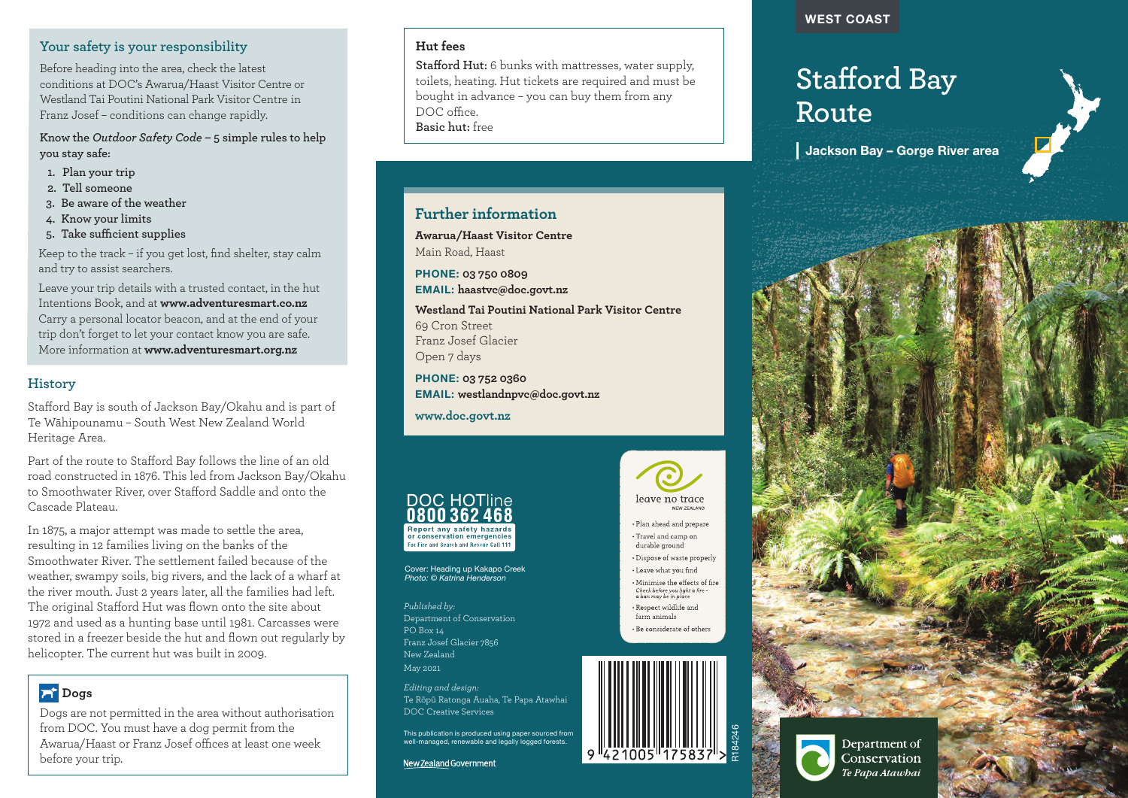# **Your safety is your responsibility**

Before heading into the area, check the latest conditions at DOC's Awarua/Haast Visitor Centre or Westland Tai Poutini National Park Visitor Centre in Franz Josef – conditions can change rapidly.

**Know the** *Outdoor Safety Code* **– 5 simple rules to help you stay safe:**

- **1. Plan your trip**
- **2. Tell someone**
- **3. Be aware of the weather**
- **4. Know your limits**
- **5. Take sufficient supplies**

Keep to the track – if you get lost, find shelter, stay calm and try to assist searchers.

Leave your trip details with a trusted contact, in the hut Intentions Book, and at **www.adventuresmart.co.nz** Carry a personal locator beacon, and at the end of your trip don't forget to let your contact know you are safe. More information at **www.adventuresmart.org.nz**

# **History**

Stafford Bay is south of Jackson Bay/Okahu and is part of Te Wāhipounamu – South West New Zealand World Heritage Area.

Part of the route to Stafford Bay follows the line of an old road constructed in 1876. This led from Jackson Bay/Okahu to Smoothwater River, over Stafford Saddle and onto the Cascade Plateau.

In 1875, a major attempt was made to settle the area, resulting in 12 families living on the banks of the Smoothwater River. The settlement failed because of the weather, swampy soils, big rivers, and the lack of a wharf at the river mouth. Just 2 years later, all the families had left. The original Stafford Hut was flown onto the site about 1972 and used as a hunting base until 1981. Carcasses were stored in a freezer beside the hut and flown out regularly by helicopter. The current hut was built in 2009.

# **Dogs**

Dogs are not permitted in the area without authorisation from DOC. You must have a dog permit from the Awarua/Haast or Franz Josef offices at least one week before your trip.

# **Hut fees**

**Stafford Hut:** 6 bunks with mattresses, water supply, toilets, heating. Hut tickets are required and must be bought in advance – you can buy them from any DOC office. **Basic hut:** free

# **Further information**

**Awarua/Haast Visitor Centre** Main Road, Haast

PHONE: **03 750 0809** EMAIL: **haastvc@doc.govt.nz**

**Westland Tai Poutini National Park Visitor Centre** 69 Cron Street Franz Josef Glacier Open 7 days

PHONE: **03 752 0360** EMAIL: **westlandnpvc@doc.govt.nz**

**www.doc.govt.nz**



Cover: Heading up Kakapo Creek *Photo: © Katrina Henderson*

*Published by:* Department of Conservation  $PO$  Box 14 Franz Josef Glacier 7856 New Zealand May 2021

*Editing and design:*  Te Rōpū Ratonga Auaha, Te Papa Atawhai DOC Creative Services

This publication is produced using paper sourced from well-managed, renewable and legally logged forests.

New Zealand Government



· Plan ahead and prepare • Travel and camp on durable ground

• Dispose of waste properly • Leave what you find

• Minimise the effects of fire Check before you light a fire<br>a ban may be in place · Respect wildlife and form onimole

• Be considerate of others



#### WEST COAST

# **Stafford Bay Route**

Jackson Bay – Gorge River area